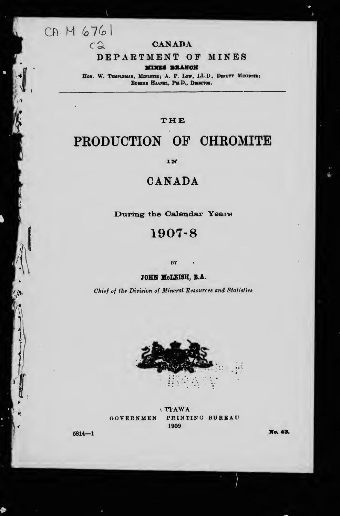# CA. M 6761

 $c\mathfrak{a}$ 

#### **CANADA**

### DEPARTMENT OF MINES

**MINES BRANCH** 

HON. W. TEMPLEMAN, MINISTER; A. P. LOW, L.L.D., DEPUTY MINISTER; EUGENE HAANEL, PH.D., DIRECTOR.

### THE

# PRODUCTION OF CHROMITE

IN

# CANADA

During the Calendar Years

### 1907-8

 $\mathbf{R}\mathbf{Y}$ 

#### JOHN McLEISH, B.A.

Chief of the Division of Mineral Resources and Statistics



(TIAWA PRINTING BUREAU GOVERNMEN 1909

 $5814 - 1$ 

No. 43.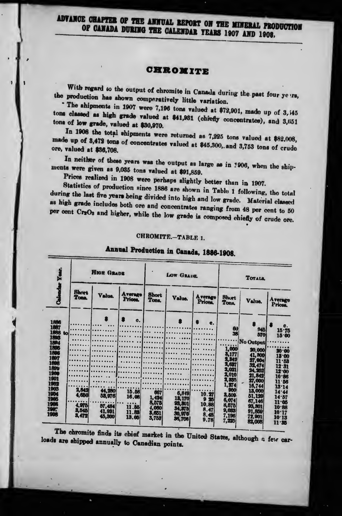ADVANCE CHAPTER OF THE ANNUAL REPORT ON THE MINERAL PRODUCTION OF CANADA DURING THE CALENDAR YEARS 1907 AND 1908.

#### CHROMITE

With regard to the output of chromite in Canada during the past four ye irs, the production has shown comparatively little variation.

The ahipments in 1907 were 7,196 tons valued at \$72,901, made up of 3,145 tons classed as high grade valued at \$41,931 (chiefly concentrates), and 3,651 tona of low grade, valued at \$30,970.

In 1908 the total shipments were returned as 7,225 tons valued at \$82,008, made up of 3,479 tons of concentrates valued at \$45,300, and 3,753 tons of crude ore, valued at \$36,708.

In neither of these years was the output as large as in 1906, when the shipments were given as 9,035 tons valued at \$91,859.

Prices realized in 1908 were perhaps slightly better than in 1907.

Statistics of production since 1886 are shown in Table 1 following, the total during the last five years being divided into high and low grade. Material classed as high grade includes both ore and concentrates ranging from 48 per cent to 50 per cent Cr2O<sub>3</sub> and higher, while the low grade is composed chiefly of crude ore.

#### CHROMITE.-TABLE 1.

|                                                                                                                                                                    |                                           | <b>HIGH GRADE</b>                              |                                                     |                                                         | <b>LOW GRADE</b>                                                |                                                                    |                                                                                                                                             | <b>TOTALS</b>                                                                                                                                                        |                                                                                                                                                        |
|--------------------------------------------------------------------------------------------------------------------------------------------------------------------|-------------------------------------------|------------------------------------------------|-----------------------------------------------------|---------------------------------------------------------|-----------------------------------------------------------------|--------------------------------------------------------------------|---------------------------------------------------------------------------------------------------------------------------------------------|----------------------------------------------------------------------------------------------------------------------------------------------------------------------|--------------------------------------------------------------------------------------------------------------------------------------------------------|
|                                                                                                                                                                    | <b>Short</b><br><b>Tone</b>               | Value.                                         | <b>Average</b><br>Prices.                           | <b>Short</b><br><b>Tons.</b>                            | Value.                                                          | <b>Average</b><br>Prices,                                          | Short<br>Tons.                                                                                                                              | Value.                                                                                                                                                               | <b>Average</b><br>Prices,                                                                                                                              |
| 1886<br>1887<br>1888<br>tol<br>1893<br>1894<br>1806<br>1800<br>1897<br>1898<br><b>1899</b><br>1900<br>1901<br>1902<br>1903<br>1004<br>1905<br>1906<br>1907<br>1908 | 2,842<br>4,650<br>4.978<br>3,545<br>3,472 | 44,280<br>53,976<br>57,484<br>41,931<br>45,300 | e.<br>15.58<br>16.08<br><br>11.85<br>11.83<br>13.05 | 667<br>1,424<br>8,575<br><b>4,060</b><br>3,651<br>3,753 | 6,849<br>13,170<br>93, 301<br><b>34.37b</b><br>30.970<br>34,708 | e.<br>10.27<br>$\mathbf{a}$<br>25<br>10,88<br>8.47<br>8,48<br>9.78 | <b>GU</b><br>38<br>1,000<br>3,177<br>2,342<br>2,637<br>2,021<br>2,010<br>2,335<br>1,274<br>900<br>3,809<br>6,074<br>8,575<br>9,033<br>7,196 | 945<br>570<br>No Output<br>20,000<br>41,300<br>27,004<br>32,474<br>24,252<br>21.842<br>27,000<br>16,744<br>13,000<br>51,129<br>67.146<br>93, 301<br>91,859<br>72,901 | c.<br>15.75<br>15.00<br>20.00<br>13.00<br>11.53<br>12.31<br>12.00<br>$10 - 86$<br>11.56<br>13.14<br>14.44<br>14.57<br>11.05<br>10.88<br>10.17<br>10.13 |

# Annual Production in Canada, 1886-1908.

The chromite finds its chief market in the United States, although a few carloads are shipped annually to Canadian points.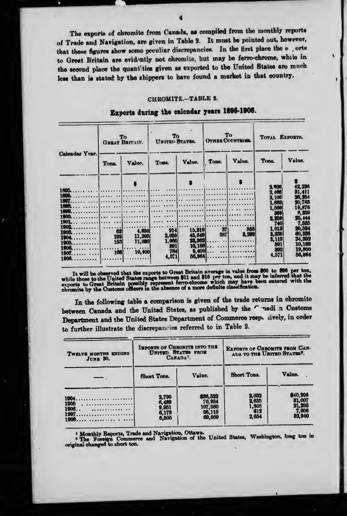The exports of chromite from Canada, as compiled from the monthly reports of Trade and Navigation, are given in Table 2. It must be pointed out, however, that these figures show some peculiar discrepancies. In the first place the e orts to Great Britain are evidently not chromite, but may be ferro-chrome, while in the second place the quantities given as exported to the United States are much less than is stated by the shippers to have found a market in that country.

#### CHROMITE.-TABLE 2.

|                                                                                 | To<br><b>GREAT BRITAIN.</b>    |                                                           | To<br>UNITED STATES.                         |                  | To<br><b>OTHER COUNTRIES</b>  |                                                    | <b>TOTAL EXPORTS.</b>                                          |                                                                              |
|---------------------------------------------------------------------------------|--------------------------------|-----------------------------------------------------------|----------------------------------------------|------------------|-------------------------------|----------------------------------------------------|----------------------------------------------------------------|------------------------------------------------------------------------------|
| <b>Calendar Year.</b>                                                           | <b>Tona</b>                    | Value.                                                    | Tons.                                        | Value.           | Tons.                         | Value.                                             | Tons.                                                          | Value.                                                                       |
| 1895                                                                            |                                |                                                           |                                              |                  |                               |                                                    | 2.906<br>2.406<br>2,106<br>1.683<br>1,500<br>368               | 42.236<br>31,411<br>26,254<br>20,783<br>19,876<br>8,250                      |
| 1902.<br>. <i>.</i><br>1903<br>1904<br>1905.<br>.<br>1906.<br>.<br>1907<br>1906 | 62<br><b>192</b><br>153<br>106 | 4,650<br>11,395(<br>11,000<br>.<br>10,400<br><u>1. 1.</u> | 914<br>2,859<br>1,966<br>891<br>784<br>4,571 | 15,319<br>45,649 | 371<br><b>2871</b><br>$9,400$ | N <sub>1</sub><br>3,202<br>25.362<br>$10.188$<br>. | 2,350<br>740<br>1.013<br>3,338<br>3.119<br>891<br>892<br>4.571 | 25, 444<br>7.535<br>20,524<br>00.336<br>34.392<br>10,188<br>19,800<br>56,864 |

### Exports during the calcndar years 1895-1908.

It will be observed that the exports to Great Britain average in value from \$60 to \$96 per ton, while those to the United States range between \$11 and \$16 per ton, and it may be inferred that the exports to Great Britain p

In the following table a comparison is given of the trade returns in chromite between Canada and the United States, as published by the Constitution Customs Department and the United States Department of Commerce resp. cively, in order to further illustrate the discrepancies referred to in Table 2.

| TWELVE MONTHS ENDING<br><b>JUNE 30.</b> | <b>IMPORTS OF CHROMITE INTO THE</b><br>UNITED STATES FROM<br>CANADA <sup>1</sup> . |                                                   | <b>EXPORTS OF CHROMITE FROM CAN-</b><br>ADA TO THE UNITED STATES'. |                                                        |  |
|-----------------------------------------|------------------------------------------------------------------------------------|---------------------------------------------------|--------------------------------------------------------------------|--------------------------------------------------------|--|
|                                         | Short Tons.                                                                        | Value.                                            | Short Tons.                                                        | Value.                                                 |  |
| 1905<br>$1906$<br>$1907$                | <b>2,790<br/>6,489<br/>9,951<br/>6,179<br/>6,505</b>                               | \$36,322<br>70,934<br>107,580<br>66,115<br>69,009 | <b>2,032<br/>2,635<br/>1,803<br/>613</b><br>2,654                  | \$40,296<br><b>81,007</b><br>21,293<br>7,606<br>32,940 |  |

<sup>1</sup> Monthly Reports, Trade and Navigation, Ottawa.<br>
<sup>2</sup> The Foreign Commerce and Navigation of the United States, Washington, long ton in original changed to short ton.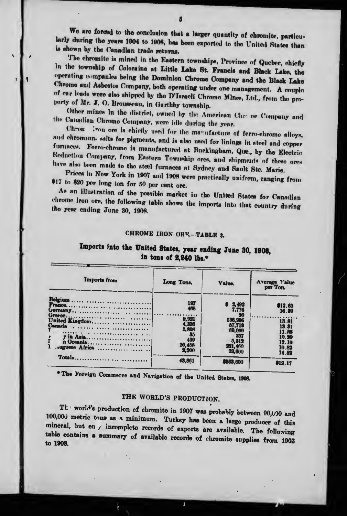We are forced to the conclusion that a larger quantity of chromite, particularly during the years 1904 to 1908, has been exported to the United States than is shown by the Canadlan trade returns.

The chromite is mined in the Eastern tewnships, Province of Quebec, chiefly In the township of Coloraine at Little Lake St. Francis and Black Lake, the operating companies being the Dominion Chrome Company and the Black Lake Chromo and Asbestos Company, both operating under one management. A couple of car loads were also shipped by the D'Israeli Chrome Mines, Ltd., from the property of Mr. J. O. Brousseau, in Garthby townshlp.

Other mines In the district, owned by the American Chre ne Company and the Canadian Chromo Company, were idle during the year.

Chron :von ore is chiefly used for the manufacture of ferro-chromo alloys, and chromium salts for pigments, and is also used for linings in steel and copper furnaces. Forro-chrome is manufactured at Buckingham, Que., by the Electric Reduction Company, from Eastern Township ores, and shipments of these ores have also been made to the steel furnaces at Sydney and Sault Stc. Marie.

Prices in Now York in 1907 and 1908 were practically uniform, ranging from \$17 to \$20 per long ton for 50 per cent ore.

As an illustration of the possible market in the United States for Canadian chrome iron ore, the following tablo shows the Imports into that country during the year ending June 30, 1908.

#### CHROME IRON ORE .- TABLE 3.

### Imports into the United States, year ending June 30, 1908, in tons of 2,240 lbs.\*

| Imports from                 | Long Tons.                     | Value.                                     | Average Value<br>per Ton.        |
|------------------------------|--------------------------------|--------------------------------------------|----------------------------------|
| Belgium<br>Franco<br>Germany | 197<br>468<br>.                | 2,492<br>7,776                             | \$12.65<br>16.39                 |
| United Kingdom<br>Canada     | 9,921<br>4,336<br>5,808<br>-35 | - 70<br>136,996<br>87.719<br>69,009<br>357 | 13.81<br>13.31<br>11.88<br>10.20 |
| y in Asia<br>.uguese Africa  | 439<br>20,458<br>2,200         | 5,312<br>221,460<br>32,600                 | 12.10<br>10.82<br>14.82          |
| Totals                       | 43,861                         | 8533,600                                   | 812.17                           |

\* The Foreign Commerce and Navigation of the United States, 1908.

### THE WORLD'S PRODUCTION.

The world's production of chromite in 1907 was probably between 90,000 and 100,000 metric tons as a minimum. Turkey has been a large producer of this mineral, but on  $f$  incomplete records of exports are available. The following table contains a summary of available records of chromite supplies from 1903 to 1908.